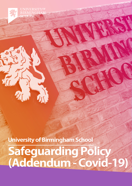**UNIVERSITYOF RMINGH** SCHOOL

**University of Birmingham School Safeguarding Policy (Addendum - Covid-19)**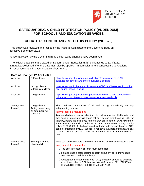

## **SAFEGUARDING & CHILD PROTECTION POLICY (ADDENDUM) FOR SCHOOLS AND EDUCATION SERVICES**

## **UPDATE RECENT CHANGES TO THIS POLICY (2019-20)**

This policy was reviewed and ratified by the Pastoral Committee of the Governing Body on: Effective September 2018

Since ratification by the Governing Body the following changes have been made –

The following additions are based on Department for Education (DfE) guidance up to 31/3/2020. DfE guidance issued after this date must also be applied – in particular to reflect necessary adaptations in response to and in effect because of COVID-19.

| Date of Change: 1st April 2020 |                                                                   |                                                                                                                                                                                                                                                                                                                                                                                                                                                                                                                                                                            |  |  |
|--------------------------------|-------------------------------------------------------------------|----------------------------------------------------------------------------------------------------------------------------------------------------------------------------------------------------------------------------------------------------------------------------------------------------------------------------------------------------------------------------------------------------------------------------------------------------------------------------------------------------------------------------------------------------------------------------|--|--|
| Addition                       | DfE guidance                                                      | https://www.gov.uk/government/collections/coronavirus-covid-19-<br>guidance-for-schools-and-other-educational-settings                                                                                                                                                                                                                                                                                                                                                                                                                                                     |  |  |
| Addition                       | <b>BCC</b> guidance<br>vulnerable children                        | https://www.birmingham.gov.uk/downloads/file/15896/safeguarding_guida<br>nce during school closure                                                                                                                                                                                                                                                                                                                                                                                                                                                                         |  |  |
| Addition                       | DfE guidance                                                      | https://www.gov.uk/government/publications/covid-19-free-school-meals-<br>guidance/covid-19-free-school-meals-guidance-for-schools                                                                                                                                                                                                                                                                                                                                                                                                                                         |  |  |
| Strengthened<br>focus $(1)$    | DfE guidance<br>Acting immediately<br>on safeguarding<br>concerns | The continued importance of all staff acting immediately on any<br>safeguarding concern.                                                                                                                                                                                                                                                                                                                                                                                                                                                                                   |  |  |
|                                |                                                                   | In my school this means that:                                                                                                                                                                                                                                                                                                                                                                                                                                                                                                                                              |  |  |
|                                |                                                                   | Anyone who has a concern about a child makes sure the child is safe, and<br>then speaks immediately via phone call or in person with the on call DSL for<br>that day, before the child goes home (if they are in school) or ASAP if there<br>is concern and the child is at home. RTI can be contacted at any time by<br>calling 0121 7965014 which will divert work phone to personal mobile; ACR<br>can be contacted on 0121 7965018. If neither is available, staff know to call<br>0121 3031888 for guidance, and 111 or 999 if there is an immediate risk of<br>harm. |  |  |
| Strengthened<br>focus $(2)$    | Sharing concerns<br>about a child                                 | What staff and volunteers should do if they have any concerns about a child                                                                                                                                                                                                                                                                                                                                                                                                                                                                                                |  |  |
|                                |                                                                   | In my school this means that:                                                                                                                                                                                                                                                                                                                                                                                                                                                                                                                                              |  |  |
|                                |                                                                   | > The best interests of children must come first                                                                                                                                                                                                                                                                                                                                                                                                                                                                                                                           |  |  |
|                                |                                                                   | If anyone has a safeguarding concern about any child, they should<br>continue to act on it immediately                                                                                                                                                                                                                                                                                                                                                                                                                                                                     |  |  |
|                                |                                                                   | > A designated safeguarding lead (DSL) or deputy should be available<br>at all times; when a DSL is not on site staff can call 0121 7965014 to<br>talk with RTI or 0121 7965018 to talk with ACR                                                                                                                                                                                                                                                                                                                                                                           |  |  |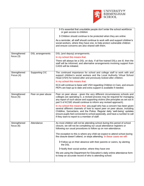

|                             |                         | It's essential that unsuitable people don't enter the school workforce<br>or gain access to children                                                                                                                                                                                                                                                               |
|-----------------------------|-------------------------|--------------------------------------------------------------------------------------------------------------------------------------------------------------------------------------------------------------------------------------------------------------------------------------------------------------------------------------------------------------------|
|                             |                         | > Children should continue to be protected when they are online                                                                                                                                                                                                                                                                                                    |
|                             |                         | As a reminder, all staff should continue to work with and support children's<br>social workers, where they have one, to help protect vulnerable children<br>and ensure concerns are also shared with them.                                                                                                                                                         |
| Strengthened                | <b>DSL</b> arrangements | DSL (and deputy) arrangements.                                                                                                                                                                                                                                                                                                                                     |
| focus $(3)$                 |                         | In my school this means that:                                                                                                                                                                                                                                                                                                                                      |
|                             |                         | There will always be a DSL on duty. If all five trained DSLs are ill, then the<br>staff will be informed, and alternative arrangements involving support from<br>CASS will be initiated.                                                                                                                                                                           |
| Strengthened<br>Focus (4)   | <b>Supporting CIC</b>   | The continued importance for school and college staff to work with and<br>support children's social workers and the Local Authority Virtual School<br>Head (VSH) for looked-after and previously looked-after children.                                                                                                                                            |
|                             |                         | In my school this means that:                                                                                                                                                                                                                                                                                                                                      |
|                             |                         | KCA will continue to liaise with VSH regarding Children in Care, and ensure<br>PEPs are kept up to date and extra support is available if needed.                                                                                                                                                                                                                  |
| Strengthened<br>focus $(5)$ | Peer on peer abuse      | Peer on peer abuse - given the very different circumstances schools and<br>colleges are operating in, a revised process may be required for managing<br>any report of such abuse and supporting victims (the principles as set out in<br>part 5 of KCSIE should continue to inform any revised approach).                                                          |
|                             |                         | In my school this means that: any pupil who has a concern has been given<br>several different channels of how to report peer on peer abuse, including<br>Childline, Samaritans, and the Police. Regular daily 'well-being' updates<br>ensure pupils feel connected to school pastorally, and have a number to call<br>if they want to report to a member of staff. |
| Strengthened<br>focus $(6)$ | Attendance              | As most children will not be attending school during this period of school<br>closure, we will not be completing our usual attendance registers or<br>following our usual procedures to follow up on non-attendance.                                                                                                                                               |
|                             |                         | The exception to this is where any child we expect to attend school during<br>the closure doesn't attend, or stops attending. In these cases we will:                                                                                                                                                                                                              |
|                             |                         | > Follow up on their absence with their parents or carers, by alerting<br>the DSL                                                                                                                                                                                                                                                                                  |
|                             |                         | > Notify their social worker, where they have one                                                                                                                                                                                                                                                                                                                  |
|                             |                         | We are using the Department for Education's daily online attendance form<br>to keep an accurate record of who is attending school.                                                                                                                                                                                                                                 |
|                             |                         |                                                                                                                                                                                                                                                                                                                                                                    |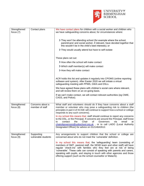

| Strengthened<br>focus $(7)$ | Contact plans                       | We have contact plans for children with a social worker and children who<br>we have safeguarding concerns about, for circumstances where:                                                                                                                                                                                                                                                                                                          |
|-----------------------------|-------------------------------------|----------------------------------------------------------------------------------------------------------------------------------------------------------------------------------------------------------------------------------------------------------------------------------------------------------------------------------------------------------------------------------------------------------------------------------------------------|
|                             |                                     | They won't be attending school (for example where the school,<br>parent/carer and social worker, if relevant, have decided together that<br>this wouldn't be in the child's best interests); or                                                                                                                                                                                                                                                    |
|                             |                                     | > They would usually attend but have to self-isolate                                                                                                                                                                                                                                                                                                                                                                                               |
|                             |                                     | These plans set out:                                                                                                                                                                                                                                                                                                                                                                                                                               |
|                             |                                     | > How often the school will make contact                                                                                                                                                                                                                                                                                                                                                                                                           |
|                             |                                     | > Which staff member(s) will make contact                                                                                                                                                                                                                                                                                                                                                                                                          |
|                             |                                     | > How they will make contact                                                                                                                                                                                                                                                                                                                                                                                                                       |
|                             |                                     | ACR holds this list and updates it regularly into CPOMS (online reporting<br>software and system). After Easter 2020 we will initiate a virtual<br>safeguarding meeting with PPMS, GWA and DSLs.                                                                                                                                                                                                                                                   |
|                             |                                     | We have agreed these plans with children's social care where relevant,<br>and will review them on an on-going basis.                                                                                                                                                                                                                                                                                                                               |
|                             |                                     | If we can't make contact, we will contact relevant authorities (eg CMIE,<br>CASS, and Police).                                                                                                                                                                                                                                                                                                                                                     |
| Strengthened<br>focus $(8)$ | Concerns about a<br>member of staff | What staff and volunteers should do if they have concerns about a staff<br>member or volunteer who may pose a safeguarding risk to children (the<br>principles in part 4 of KCSIE will continue to support how a school or college<br>responds to any such concerns).                                                                                                                                                                              |
|                             |                                     | In my school this means that: staff should continue to report any concerns<br>to the DSL, or the Principal. If concerns are around the Principal, staff know<br>contact<br>the<br>Chair<br>email<br>0f<br>Governors<br>via<br>to<br>at<br>chairofgovernors@uobschool.org.uk, or to call LADO (Local Authority<br>Designated Officer) for advice on 01214642612.                                                                                    |
| Strengthened<br>focus $(9)$ | Supporting<br>vulnerable students   | Any arrangements to support children that the school or college are<br>concerned about who do not meet the 'vulnerable' definition.                                                                                                                                                                                                                                                                                                                |
|                             |                                     | In my school this means that; the 'safeguarding' team (consisting of<br>members of SMT, pastoral staff, the SEND team and other staff) will have<br>regular 'check-ins' with families who they feel are at risk of being<br>'vulnerable'. These calls can consist of speaking with parents and carers,<br>speaking with pupils, and staying in touch with other agencies and those<br>offering support (such as the school counsellor or Malachi). |
|                             |                                     |                                                                                                                                                                                                                                                                                                                                                                                                                                                    |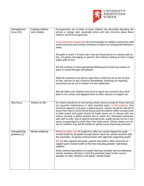

| Strengthened<br>focus $(10)$  | Keeping children<br>safe virtually | Arrangements are in place to keep children not physically attending the<br>school or college safe, especially online and how concerns about these<br>children should be progressed.                                                                                                                                                                                                                                                                                                                                                                                                                                                                                                                                                 |
|-------------------------------|------------------------------------|-------------------------------------------------------------------------------------------------------------------------------------------------------------------------------------------------------------------------------------------------------------------------------------------------------------------------------------------------------------------------------------------------------------------------------------------------------------------------------------------------------------------------------------------------------------------------------------------------------------------------------------------------------------------------------------------------------------------------------------|
|                               |                                    | In my school this means that: all communication to children comes from staff<br>school accounts and conduct continues to follow our existing staff behaviour<br>policy.                                                                                                                                                                                                                                                                                                                                                                                                                                                                                                                                                             |
|                               |                                    | All pupils in years 7-9 have had a top-up virtual lesson on staying safe on-<br>line. On-going messaging to parents will continue looking at how to keep<br>pupils safe on-line.                                                                                                                                                                                                                                                                                                                                                                                                                                                                                                                                                    |
|                               |                                    | We will continue to have appropriate filtering and monitoring systems in<br>place in school through Smoothwall.                                                                                                                                                                                                                                                                                                                                                                                                                                                                                                                                                                                                                     |
|                               |                                    | Staff will continue to be alert to signs that a child may be at risk of harm<br>on-line, and act on any concerns immediately, following our reporting<br>procedures as set out in section 3 of this addendum.                                                                                                                                                                                                                                                                                                                                                                                                                                                                                                                       |
|                               |                                    | We will make sure children know how to report any concerns they have<br>back to our school, and signpost them to other sources of support too.                                                                                                                                                                                                                                                                                                                                                                                                                                                                                                                                                                                      |
| New focus                     | Visitors on site                   | No visitors should be on site during school closure except for those carrying<br>out essential maintenance or other essential tasks. In this instance, they<br>should be signed in and wear a yellow lanyard. Visitors should be told which<br>areas they need to avoid (those being used by children whilst unsupervised<br>ie toilet areas) and pupils should be made aware not to interact with any<br>visitors wearing a yellow lanyard and to report any attempted interaction<br>with staff on duty. Due to special arrangements, pupils should not be in any<br>areas unsupervised by staff other than toilet areas. Where visitors are on-<br>site as outlined, they will be briefed to uphold social distancing protocols. |
| Strengthening<br>guidance (1) | Mental wellbeing                   | Where possible, we will continue to offer our current support for pupil<br>mental health for all pupils through phone check-ins, phone sessions with<br>the counsellor, on-going communication with agencies supporting pupils.                                                                                                                                                                                                                                                                                                                                                                                                                                                                                                     |
|                               |                                    | We will also signpost all pupils, parents and staff to other resources to<br>support good mental health at this time including periodic 'well-being'<br>bulletins.                                                                                                                                                                                                                                                                                                                                                                                                                                                                                                                                                                  |
|                               |                                    | When setting expectations for pupils learning remotely and not attending<br>school, teachers will bear in mind the potential impact of the current<br>situation on both children's and adults' mental health.                                                                                                                                                                                                                                                                                                                                                                                                                                                                                                                       |
|                               |                                    |                                                                                                                                                                                                                                                                                                                                                                                                                                                                                                                                                                                                                                                                                                                                     |